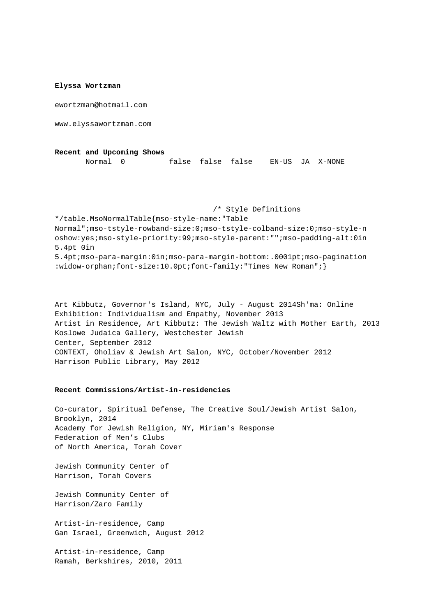### **Elyssa Wortzman**

ewortzman@hotmail.com

www.elyssawortzman.com

**Recent and Upcoming Shows** Normal 0 false false false EN-US JA X-NONE

 /\* Style Definitions \*/table.MsoNormalTable {mso-style-name:"Table Normal"; mso-tstyle-rowband-size:0; mso-tstyle-colband-size:0; mso-style-n oshow:yes; mso-style-priority:99; mso-style-parent:""; mso-padding-alt:0in 5.4pt 0in 5.4pt; mso-para-margin:0in; mso-para-margin-bottom:.0001pt; mso-pagination :widow-orphan; font-size:10.0pt; font-family: "Times New Roman"; }

Art Kibbutz, Governor's Island, NYC, July - August 2014Sh'ma: Online Exhibition: Individualism and Empathy, November 2013 Artist in Residence, Art Kibbutz: The Jewish Waltz with Mother Earth, 2013 Koslowe Judaica Gallery, Westchester Jewish Center, September 2012 CONTEXT, Oholiav & Jewish Art Salon, NYC, October/November 2012 Harrison Public Library, May 2012

## **Recent Commissions/Artist-in-residencies**

Co-curator, Spiritual Defense, The Creative Soul/Jewish Artist Salon, Brooklyn, 2014 Academy for Jewish Religion, NY, Miriam's Response Federation of Men's Clubs of North America, Torah Cover

Jewish Community Center of Harrison, Torah Covers

Jewish Community Center of Harrison/Zaro Family

Artist-in-residence, Camp Gan Israel, Greenwich, August 2012

Artist-in-residence, Camp Ramah, Berkshires, 2010, 2011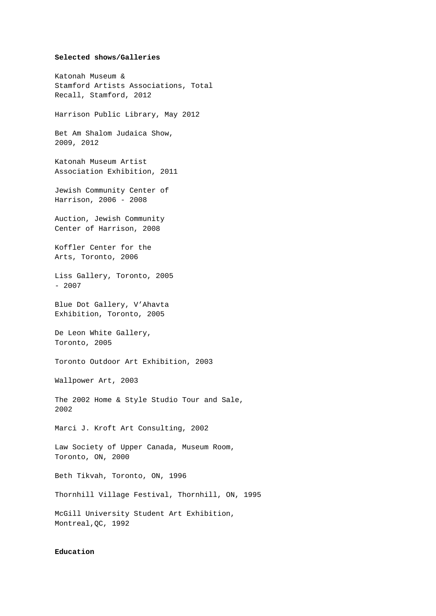## **Selected shows/Galleries**

Katonah Museum & Stamford Artists Associations, Total Recall, Stamford, 2012 Harrison Public Library, May 2012 Bet Am Shalom Judaica Show, 2009, 2012 Katonah Museum Artist Association Exhibition, 2011 Jewish Community Center of Harrison, 2006 - 2008 Auction, Jewish Community Center of Harrison, 2008 Koffler Center for the Arts, Toronto, 2006 Liss Gallery, Toronto, 2005  $-2007$ Blue Dot Gallery, V'Ahavta Exhibition, Toronto, 2005 De Leon White Gallery, Toronto, 2005 Toronto Outdoor Art Exhibition, 2003 Wallpower Art, 2003 The 2002 Home & Style Studio Tour and Sale, 2002 Marci J. Kroft Art Consulting, 2002 Law Society of Upper Canada, Museum Room, Toronto, ON, 2000 Beth Tikvah, Toronto, ON, 1996 Thornhill Village Festival, Thornhill, ON, 1995 McGill University Student Art Exhibition, Montreal,QC, 1992

# **Education**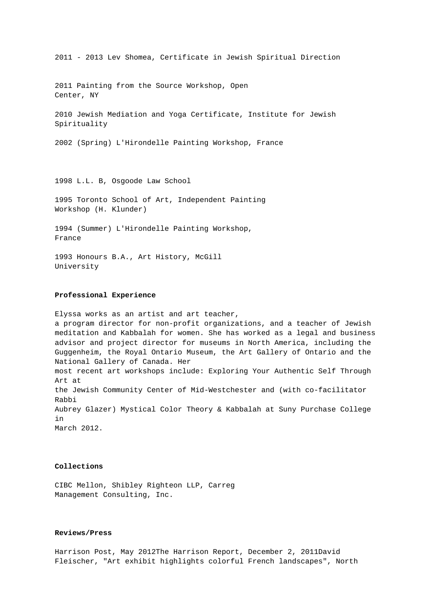2011 Painting from the Source Workshop, Open Center, NY 2010 Jewish Mediation and Yoga Certificate, Institute for Jewish Spirituality 2002 (Spring) L'Hirondelle Painting Workshop, France 1998 L.L. B, Osgoode Law School 1995 Toronto School of Art, Independent Painting

2011 - 2013 Lev Shomea, Certificate in Jewish Spiritual Direction

Workshop (H. Klunder)

1994 (Summer) L'Hirondelle Painting Workshop, France

1993 Honours B.A., Art History, McGill University

### **Professional Experience**

Elyssa works as an artist and art teacher, a program director for non-profit organizations, and a teacher of Jewish meditation and Kabbalah for women. She has worked as a legal and business advisor and project director for museums in North America, including the Guggenheim, the Royal Ontario Museum, the Art Gallery of Ontario and the National Gallery of Canada. Her most recent art workshops include: Exploring Your Authentic Self Through Art at the Jewish Community Center of Mid-Westchester and (with co-facilitator Rabbi Aubrey Glazer) Mystical Color Theory & Kabbalah at Suny Purchase College in March 2012.

# **Collections**

CIBC Mellon, Shibley Righteon LLP, Carreg Management Consulting, Inc.

#### **Reviews/Press**

Harrison Post, May 2012The Harrison Report, December 2, 2011David Fleischer, "Art exhibit highlights colorful French landscapes", North